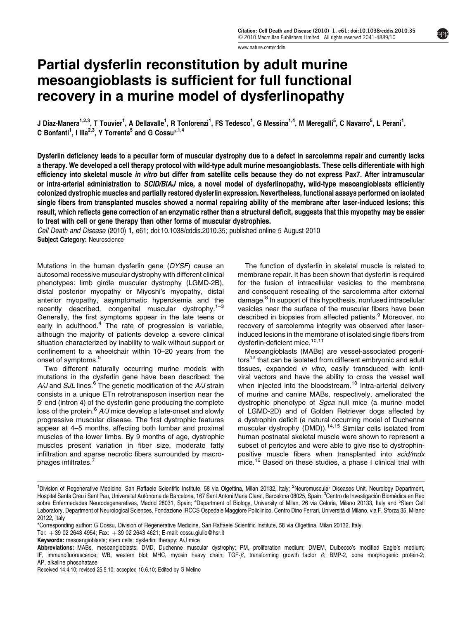[www.nature.com/cddis](http://www.nature.com/cddis)

# Partial dysferlin reconstitution by adult murine mesoangioblasts is sufficient for full functional recovery in a murine model of dysferlinopathy

J Díaz-Manera<sup>1,2,3</sup>, T Touvier<sup>1</sup>, A Dellavalle<sup>1</sup>, R Tonlorenzi<sup>1</sup>, FS Tedesco<sup>1</sup>, G Messina<sup>1,4</sup>, M Meregalli<sup>5</sup>, C Navarro<sup>5</sup>, L Perani<sup>1</sup>, C Bonfanti<sup>1</sup>, I Illa<sup>2,3</sup>, Y Torrente<sup>5</sup> and G Cossu<sup>\*,1,4</sup>

Dysferlin deficiency leads to a peculiar form of muscular dystrophy due to a defect in sarcolemma repair and currently lacks a therapy. We developed a cell therapy protocol with wild-type adult murine mesoangioblasts. These cells differentiate with high efficiency into skeletal muscle in vitro but differ from satellite cells because they do not express Pax7. After intramuscular or intra-arterial administration to SCID/BlAJ mice, a novel model of dysferlinopathy, wild-type mesoangioblasts efficiently colonized dystrophic muscles and partially restored dysferlin expression. Nevertheless, functional assays performed on isolated single fibers from transplanted muscles showed a normal repairing ability of the membrane after laser-induced lesions; this result, which reflects gene correction of an enzymatic rather than a structural deficit, suggests that this myopathy may be easier to treat with cell or gene therapy than other forms of muscular dystrophies.

Cell Death and Disease (2010) 1, e61; doi[:10.1038/cddis.2010.35;](http://dx.doi.org/10.1038/cddis.2010.35) published online 5 August 2010 Subject Category: Neuroscience

Mutations in the human dysferlin gene (DYSF) cause an autosomal recessive muscular dystrophy with different clinical phenotypes: limb girdle muscular dystrophy (LGMD-2B), distal posterior myopathy or Miyoshi's myopathy, distal anterior myopathy, asymptomatic hyperckemia and the recently described, congenital muscular dystrophy.[1–3](#page-9-0) Generally, the first symptoms appear in the late teens or early in adulthood.<sup>4</sup> The rate of progression is variable, although the majority of patients develop a severe clinical situation characterized by inability to walk without support or confinement to a wheelchair within 10–20 years from the onset of symptoms.<sup>[5](#page-9-0)</sup>

Two different naturally occurring murine models with mutations in the dysferlin gene have been described: the  $A/J$  and SJL lines.<sup>[6](#page-9-0)</sup> The genetic modification of the  $A/J$  strain consists in a unique ETn retrotransposon insertion near the 5' end (intron 4) of the dysferlin gene producing the complete loss of the protein. $6$  A/J mice develop a late-onset and slowly progressive muscular disease. The first dystrophic features appear at 4–5 months, affecting both lumbar and proximal muscles of the lower limbs. By 9 months of age, dystrophic muscles present variation in fiber size, moderate fatty infiltration and sparse necrotic fibers surrounded by macro-phages infiltrates.<sup>[7](#page-9-0)</sup>

The function of dysferlin in skeletal muscle is related to membrane repair. It has been shown that dysferlin is required for the fusion of intracellular vesicles to the membrane and consequent resealing of the sarcolemma after external damage.<sup>[8](#page-9-0)</sup> In support of this hypothesis, nonfused intracellular vesicles near the surface of the muscular fibers have been described in biopsies from affected patients.<sup>[9](#page-9-0)</sup> Moreover, no recovery of sarcolemma integrity was observed after laserinduced lesions in the membrane of isolated single fibers from dysferlin-deficient mice.<sup>[10,11](#page-9-0)</sup>

Mesoangioblasts (MABs) are vessel-associated progeni-tors<sup>[12](#page-9-0)</sup> that can be isolated from different embryonic and adult tissues, expanded in vitro, easily transduced with lentiviral vectors and have the ability to cross the vessel wall when injected into the bloodstream.<sup>[13](#page-9-0)</sup> Intra-arterial delivery of murine and canine MABs, respectively, ameliorated the dystrophic phenotype of Sgca null mice (a murine model of LGMD-2D) and of Golden Retriever dogs affected by a dystrophin deficit (a natural occurring model of Duchenne muscular dystrophy (DMD)).<sup>[14,15](#page-9-0)</sup> Similar cells isolated from human postnatal skeletal muscle were shown to represent a subset of pericytes and were able to give rise to dystrophinpositive muscle fibers when transplanted into scid/mdx mice.<sup>[16](#page-9-0)</sup> Based on these studies, a phase I clinical trial with

<sup>&</sup>lt;sup>1</sup>Division of Regenerative Medicine, San Raffaele Scientific Institute, 58 via Olgettina, Milan 20132, Italy; <sup>2</sup>Neuromuscular Diseases Unit, Neurology Department, Hospital Santa Čreu i Sant Pau, Universitat Autònoma de Barcelona, 167 Sant Antoni Maria Claret, Barcelona 08025, Spain; <sup>3</sup>Centro de Investigación Biomédica en Red sobre Enfermedades Neurodegenerativas, Madrid 28031, Spain; <sup>4</sup>Department of Biology, University of Milan, 26 via Celoria, Milano 20133, Italy and <sup>5</sup>Stem Cell Laboratory, Department of Neurological Sciences, Fondazione IRCCS Ospedale Maggiore Policlinico, Centro Dino Ferrari, Università di Milano, via F. Sforza 35, Milano 20122, Italy

<sup>\*</sup>Corresponding author: G Cossu, Division of Regenerative Medicine, San Raffaele Scientific Institute, 58 via Olgettina, Milan 20132, Italy.

Tel:  $+39$  02 2643 4954; Fax:  $+39$  02 2643 4621; E-mail: [cossu.giulio@hsr.it](mailto:cossu.giulio@hsr.it)

Keywords: mesoangioblasts; stem cells; dysferlin; therapy; A/J mice

Abbreviations: MABs, mesoangioblasts; DMD, Duchenne muscular dystrophy; PM, proliferation medium; DMEM, Dulbecco's modified Eagle's medium; IF, immunofluorescence; WB, western blot; MHC, myosin heavy chain; TGF- $\beta$ , transforming growth factor  $\beta$ ; BMP-2, bone morphogenic protein-2; AP, alkaline phosphatase

Received 14.4.10; revised 25.5.10; accepted 10.6.10; Edited by G Melino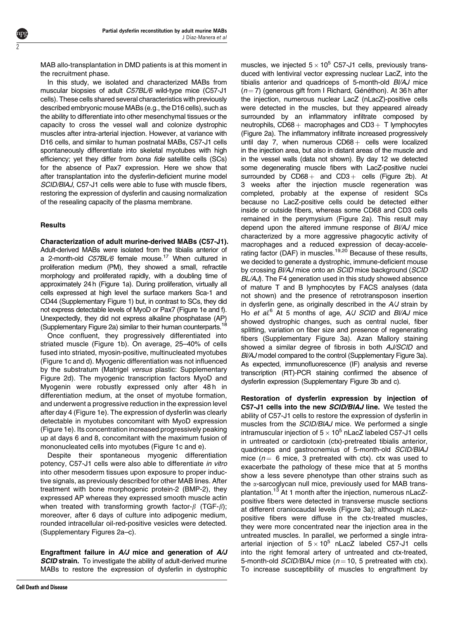MAB allo-transplantation in DMD patients is at this moment in the recruitment phase.

In this study, we isolated and characterized MABs from muscular biopsies of adult C57BL/6 wild-type mice (C57-J1 cells). These cells shared several characteristics with previously described embryonic mouse MABs (e.g., the D16 cells), such as the ability to differentiate into other mesenchymal tissues or the capacity to cross the vessel wall and colonize dystrophic muscles after intra-arterial injection. However, at variance with D16 cells, and similar to human postnatal MABs, C57-J1 cells spontaneously differentiate into skeletal myotubes with high efficiency; yet they differ from bona fide satellite cells (SCs) for the absence of Pax7 expression. Here we show that after transplantation into the dysferlin-deficient murine model SCID/BlAJ, C57-J1 cells were able to fuse with muscle fibers, restoring the expression of dysferlin and causing normalization of the resealing capacity of the plasma membrane.

# **Results**

2

Characterization of adult murine-derived MABs (C57-J1). Adult-derived MABs were isolated from the tibialis anterior of a 2-month-old C57BL/6 female mouse.<sup>17</sup> When cultured in proliferation medium (PM), they showed a small, refractile morphology and proliferated rapidly, with a doubling time of approximately 24h [\(Figure 1a\). During proliferation, virtually all](#page-2-0) [cells expressed at high level the surface markers Sca-1 and](#page-2-0) [CD44 \(Supplementary Figure 1\) but, in contrast to SCs, they did](#page-2-0) [not express detectable levels of MyoD or Pax7 \(Figure 1e and f\).](#page-2-0) [Unexpectedly, they did not express alkaline phosphatase \(AP\)](#page-2-0) [\(Supplementary](#page-9-0) [Figure](#page-9-0) [2a\)](#page-9-0) [similar](#page-9-0) [to](#page-9-0) [their](#page-9-0) [human](#page-9-0) counterparts.<sup>18</sup>

Once confluent, they progressively differentiated into striated muscle ([Figure 1b\). On average, 25–40% of cells](#page-2-0) [fused into striated, myosin-positive, multinucleated myotubes](#page-2-0) [\(Figure 1c and d\). Myogenic differentiation was not influenced](#page-2-0) [by the substratum \(Matrigel](#page-2-0) versus plastic: Supplementary [Figure 2d\). The myogenic transcription factors MyoD and](#page-2-0) Myogenin were robustly expressed only after 48h in [differentiation medium, at the onset of myotube formation,](#page-2-0) [and underwent a progressive reduction in the expression level](#page-2-0) [after day 4 \(Figure 1e\). The expression of dysferlin was clearly](#page-2-0) [detectable in myotubes concomitant with MyoD expression](#page-2-0) [\(Figure 1e\). Its concentration increased progressively peaking](#page-2-0) [up at days 6 and 8, concomitant with the maximum fusion of](#page-2-0) [mononucleated cells into myotubes \(Figure 1c and e\).](#page-2-0)

Despite their spontaneous myogenic differentiation potency, C57-J1 cells were also able to differentiate in vitro into other mesoderm tissues upon exposure to proper inductive signals, as previously described for other MAB lines. After treatment with bone morphogenic protein-2 (BMP-2), they expressed AP whereas they expressed smooth muscle actin when treated with transforming growth factor- $\beta$  (TGF- $\beta$ ); moreover, after 6 days of culture into adipogenic medium, rounded intracellular oil-red-positive vesicles were detected. (Supplementary Figures 2a–c).

Engraftment failure in A/J mice and generation of A/J **SCID strain.** To investigate the ability of adult-derived murine MABs to restore the expression of dysferlin in dystrophic

muscles, we injected  $5 \times 10^5$  C57-J1 cells, previously transduced with lentiviral vector expressing nuclear LacZ, into the tibialis anterior and quadriceps of 5-month-old Bl/AJ mice  $(n = 7)$  (generous gift from I Richard, Généthon). At 36 h after the injection, numerous nuclear LacZ (nLacZ)-positive cells were detected in the muscles, but they appeared already surrounded by an inflammatory infiltrate composed by neutrophils,  $CD68$  + macrophages and  $CD3$  + T lymphocytes ([Figure 2a\). The inflammatory infiltrate increased progressively](#page-3-0) until day 7, when numerous  $CD68 +$  [cells were localized](#page-3-0) [in the injection area, but also in distant areas of the muscle and](#page-3-0) [in the vessel walls \(data not shown\). By day 12 we detected](#page-3-0) [some degenerating muscle fibers with LacZ-positive nuclei](#page-3-0) surrounded by  $CD68+$  and  $CD3+$  [cells \(Figure 2b\). At](#page-3-0) [3 weeks after the injection muscle regeneration was](#page-3-0) [completed, probably at the expense of resident SCs](#page-3-0) [because no LacZ-positive cells could be detected either](#page-3-0) [inside or outside fibers, whereas some CD68 and CD3 cells](#page-3-0) [remained in the perymysium \(Figure 2a\). This result may](#page-3-0) [depend upon the altered immune response of](#page-3-0) Bl/AJ mice [characterized by a more aggressive phagocytic activity of](#page-3-0) [macrophages and a reduced expression of decay-accele](#page-3-0)[rating](#page-9-0) [factor](#page-9-0) [\(DAF\)](#page-9-0) [in](#page-9-0) muscles.<sup>19,20</sup> Because of these results, we decided to generate a dystrophic, immune-deficient mouse by crossing BI/AJ mice onto an SCID mice background (SCID BL/AJ). The F4 generation used in this study showed absence of mature T and B lymphocytes by FACS analyses (data not shown) and the presence of retrotransposon insertion in dysferlin gene, as originally described in the  $A/J$  strain by Ho et al.<sup>[6](#page-9-0)</sup> At 5 months of age, A/J SCID and BI/AJ mice showed dystrophic changes, such as central nuclei, fiber splitting, variation on fiber size and presence of regenerating fibers (Supplementary Figure 3a). Azan Mallory staining showed a similar degree of fibrosis in both AJ/SCID and BI/AJ model compared to the control (Supplementary Figure 3a). As expected, immunofluorescence (IF) analysis and reverse transcription (RT)-PCR staining confirmed the absence of dysferlin expression (Supplementary Figure 3b and c).

Restoration of dysferlin expression by injection of C57-J1 cells into the new SCID/BIAJ line. We tested the ability of C57-J1 cells to restore the expression of dysferlin in muscles from the SCID/BlAJ mice. We performed a single intramuscular injection of  $5 \times 10^5$  nLacZ labeled C57-J1 cells in untreated or cardiotoxin (ctx)-pretreated tibialis anterior, quadriceps and gastrocnemius of 5-month-old SCID/BlAJ mice ( $n = 6$  mice, 3 pretreated with ctx). ctx was used to exacerbate the pathology of these mice that at 5 months show a less severe phenotype than other strains such as the  $\alpha$ -sarcoglycan null mice, previously used for MAB transplantation.<sup>13</sup> At 1 month after the injection, numerous nLacZpositive fibers were detected in transverse muscle sections at different craniocaudal levels [\(Figure 3a\); although nLacz](#page-4-0)[positive fibers were diffuse in the ctx-treated muscles,](#page-4-0) [they were more concentrated near the injection area in the](#page-4-0) [untreated muscles. In parallel, we performed a single intra](#page-4-0)arterial injection of  $5 \times 10^5$  [nLacZ labeled C57-J1 cells](#page-4-0) [into the right femoral artery of untreated and ctx-treated,](#page-4-0) [5-month-old](#page-4-0)  $SCID/BIAJ$  mice ( $n = 10$ , 5 pretreated with ctx). [To increase susceptibility of muscles to engraftment by](#page-4-0)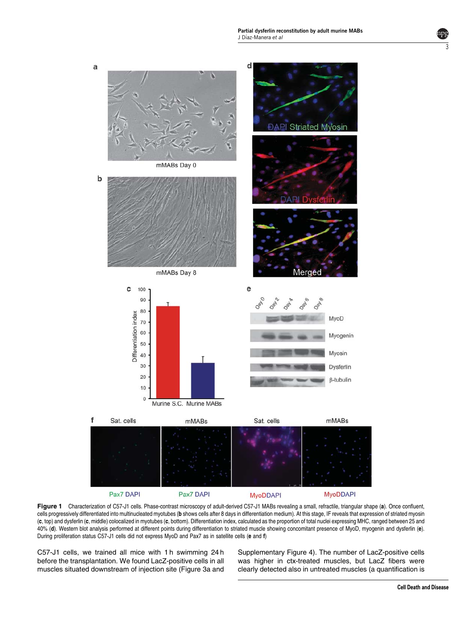<span id="page-2-0"></span>



[C57-J1 cells, we trained all mice with 1 h swimming 24 h](#page-4-0) [before the transplantation. We found LacZ-positive cells in all](#page-4-0) [muscles situated downstream of injection site \(Figure 3a and](#page-4-0) [Supplementary Figure 4\). The number of LacZ-positive cells](#page-4-0) [was higher in ctx-treated muscles, but LacZ fibers were](#page-4-0) [clearly detected also in untreated muscles \(a quantification is](#page-4-0)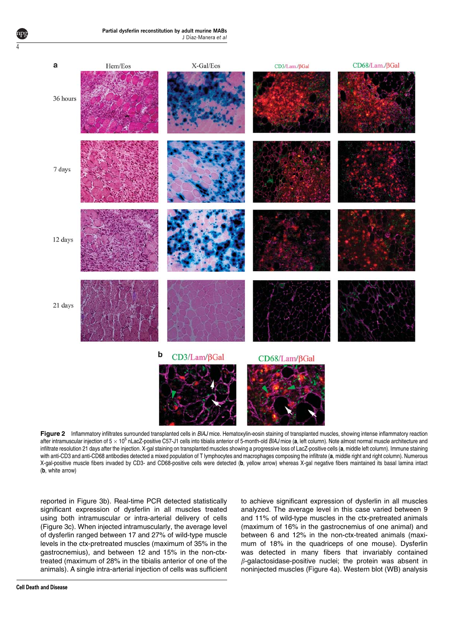<span id="page-3-0"></span>

Figure 2 Inflammatory infiltrates surrounded transplanted cells in BIAJ mice. Hematoxylin-eosin staining of transplanted muscles, showing intense inflammatory reaction after intramuscular injection of 5  $\times$  10<sup>5</sup> nLacZ-positive C57-J1 cells into tibialis anterior of 5-month-old BIAJ mice (a, left column). Note almost normal muscle architecture and infiltrate resolution 21 days after the injection. X-gal staining on transplanted muscles showing a progressive loss of LacZ-positive cells (a, middle left column). Immune staining with anti-CD3 and anti-CD68 antibodies detected a mixed population of T lymphocytes and macrophages composing the infiltrate (a, middle right and right column). Numerous X-gal-positive muscle fibers invaded by CD3- and CD68-positive cells were detected (b, yellow arrow) whereas X-gal negative fibers maintained its basal lamina intact (b, white arrow)

[reported in Figure 3b\). Real-time PCR detected statistically](#page-4-0) [significant expression of dysferlin in all muscles treated](#page-4-0) [using both intramuscular or intra-arterial delivery of cells](#page-4-0) [\(Figure 3c\). When injected intramuscularly, the average level](#page-4-0) [of dysferlin ranged between 17 and 27% of wild-type muscle](#page-4-0) [levels in the ctx-pretreated muscles \(maximum of 35% in the](#page-4-0) [gastrocnemius\), and between 12 and 15% in the non-ctx](#page-4-0)[treated \(maximum of 28% in the tibialis anterior of one of the](#page-4-0) [animals\). A single intra-arterial injection of cells was sufficient](#page-4-0) [to achieve significant expression of dysferlin in all muscles](#page-4-0) [analyzed. The average level in this case varied between 9](#page-4-0) [and 11% of wild-type muscles in the ctx-pretreated animals](#page-4-0) [\(maximum of 16% in the gastrocnemius of one animal\) and](#page-4-0) [between 6 and 12% in the non-ctx-treated animals \(maxi](#page-4-0)[mum of 18% in the quadriceps of one mouse\). Dysferlin](#page-4-0) [was detected in many fibers that invariably contained](#page-4-0)  $\beta$ [-galactosidase-positive nuclei; the protein was absent in](#page-4-0) [noninjected muscles \(Figure 4a\). Western blot \(WB\) analysis](#page-5-0)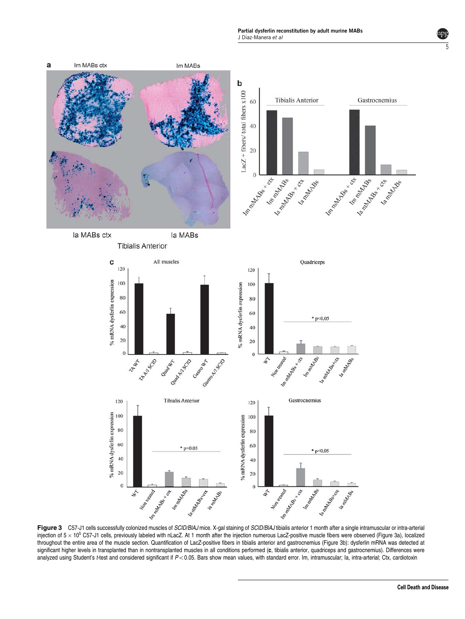Partial dysferlin reconstitution by adult murine MABs J Díaz-Manera et al

<span id="page-4-0"></span>

Figure 3 C57-J1 cells successfully colonized muscles of SCID/BIAJ mice. X-gal staining of SCID/BIAJ tibialis anterior 1 month after a single intramuscular or intra-arterial injection of  $5 \times 10^5$  C57-J1 cells, previously labeled with nLacZ. At 1 month after the injection numerous LacZ-positive muscle fibers were observed (Figure 3a), localized throughout the entire area of the muscle section. Quantification of LacZ-positive fibers in tibialis anterior and gastrocnemius (Figure 3b): dysferlin mRNA was detected at significant higher levels in transplanted than in nontransplanted muscles in all conditions performed (c, tibialis anterior, quadriceps and gastrocnemius). Differences were analyzed using Student's t-test and considered significant if  $P<0.05$ . Bars show mean values, with standard error. Im, intramuscular; Ia, intra-arterial; Ctx, cardiotoxin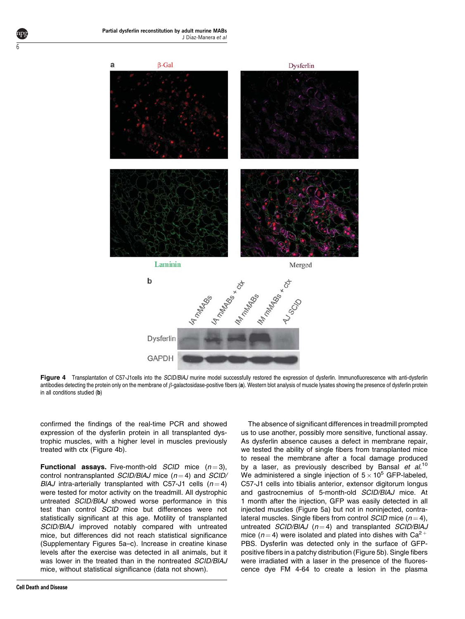<span id="page-5-0"></span>

Figure 4 Transplantation of C57-J1cells into the SCID/BIAJ murine model successfully restored the expression of dysferlin. Immunofluorescence with anti-dysferlin antibodies detecting the protein only on the membrane of  $\beta$ -galactosidase-positive fibers (a). Western blot analysis of muscle lysates showing the presence of dysferlin protein in all conditions studied (b)

confirmed the findings of the real-time PCR and showed expression of the dysferlin protein in all transplanted dystrophic muscles, with a higher level in muscles previously treated with ctx (Figure 4b).

**Functional assays.** Five-month-old *SCID* mice  $(n=3)$ , control nontransplanted  $SCID/BIAJ$  mice ( $n = 4$ ) and  $SCID/$ BIAJ intra-arterially transplanted with C57-J1 cells  $(n=4)$ were tested for motor activity on the treadmill. All dystrophic untreated SCID/BlAJ showed worse performance in this test than control SCID mice but differences were not statistically significant at this age. Motility of transplanted SCID/BlAJ improved notably compared with untreated mice, but differences did not reach statistical significance (Supplementary Figures 5a–c). Increase in creatine kinase levels after the exercise was detected in all animals, but it was lower in the treated than in the nontreated SCID/BIAJ mice, without statistical significance (data not shown).

As dysferlin absence causes a defect in membrane repair, we tested the ability of single fibers from transplanted mice to reseal the membrane after a focal damage produced by a laser, as previously described by Bansal et  $al$ <sup>[10](#page-9-0)</sup> We administered a single injection of  $5 \times 10^5$  GFP-labeled, C57-J1 cells into tibialis anterior, extensor digitorum longus and gastrocnemius of 5-month-old SCID/BlAJ mice. At 1 month after the injection, GFP was easily detected in all injected muscles [\(Figure 5a\) but not in noninjected, contra](#page-6-0)[lateral muscles. Single fibers from control](#page-6-0)  $SCID$  mice ( $n = 4$ ), untreated  $SCID/BIAJ$  ( $n = 4$ ) and transplanted  $SCID/BIAJ$ [mice \(](#page-6-0) $n = 4$ ) [were](#page-6-0) [isolated](#page-6-0) [and](#page-6-0) [plated](#page-6-0) [into](#page-6-0) [dishes](#page-6-0) [with](#page-6-0) [Ca](#page-6-0)<sup>2+</sup> [PBS. Dysferlin was detected only in the surface of GFP](#page-6-0)[positive fibers in a patchy distribution \(Figure 5b\). Single fibers](#page-6-0) [were irradiated with a laser in the presence of the fluores](#page-6-0)[cence dye FM 4-64 to create a lesion in the plasma](#page-6-0)

The absence of significant differences in treadmill prompted us to use another, possibly more sensitive, functional assay.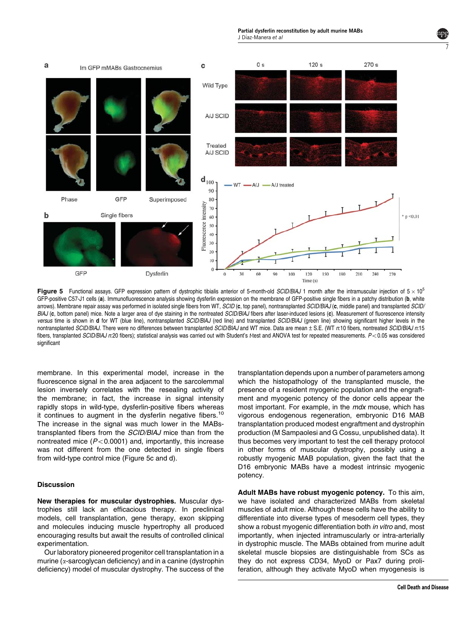Partial dysferlin reconstitution by adult murine MABs J Díaz-Manera et al

<span id="page-6-0"></span>

Figure 5 Functional assays. GFP expression pattern of dystrophic tibialis anterior of 5-month-old SCID/BIAJ 1 month after the intramuscular injection of  $5 \times 10^5$ GFP-positive C57-J1 cells (a). Immunofluorescence analysis showing dysferlin expression on the membrane of GFP-positive single fibers in a patchy distribution (b, white arrows). Membrane repair assay was performed in isolated single fibers from WT, SCID (c, top panel), nontransplanted SCID/BIAJ (c, middle panel) and transplanted SCID/ BIAJ (c, bottom panel) mice. Note a larger area of dye staining in the nontreated SCID/BIAJ fibers after laser-induced lesions (c). Measurement of fluorescence intensity versus time is shown in d for WT (blue line), nontransplanted SCID/BIAJ (red line) and transplanted SCID/BIAJ (green line) showing significant higher levels in the nontransplanted SCID/BlAJ. There were no differences between transplanted SCID/BlAJ and WT mice. Data are mean ± S.E. (WT n:10 fibers, nontreated SCID/BlAJ n:15 fibers, transplanted SCID/BIAJ n:20 fibers); statistical analysis was carried out with Student's t-test and ANOVA test for repeated measurements.  $P < 0.05$  was considered significant

membrane. In this experimental model, increase in the fluorescence signal in the area adjacent to the sarcolemmal lesion inversely correlates with the resealing activity of the membrane; in fact, the increase in signal intensity rapidly stops in wild-type, dysferlin-positive fibers whereas [it](#page-9-0) [continues](#page-9-0) [to](#page-9-0) [augment](#page-9-0) [in](#page-9-0) [the](#page-9-0) [dysferlin](#page-9-0) [negative](#page-9-0) [fibers.](#page-9-0)<sup>10</sup> The increase in the signal was much lower in the MABstransplanted fibers from the SCID/BlAJ mice than from the nontreated mice  $(P<0.0001)$  and, importantly, this increase was not different from the one detected in single fibers from wild-type control mice (Figure 5c and d).

### **Discussion**

New therapies for muscular dystrophies. Muscular dystrophies still lack an efficacious therapy. In preclinical models, cell transplantation, gene therapy, exon skipping and molecules inducing muscle hypertrophy all produced encouraging results but await the results of controlled clinical experimentation.

Our laboratory pioneered progenitor cell transplantation in a murine ( $\alpha$ -sarcoglycan deficiency) and in a canine (dystrophin deficiency) model of muscular dystrophy. The success of the transplantation depends upon a number of parameters among which the histopathology of the transplanted muscle, the presence of a resident myogenic population and the engraftment and myogenic potency of the donor cells appear the most important. For example, in the mdx mouse, which has vigorous endogenous regeneration, embryonic D16 MAB transplantation produced modest engraftment and dystrophin production (M Sampaolesi and G Cossu, unpublished data). It thus becomes very important to test the cell therapy protocol in other forms of muscular dystrophy, possibly using a robustly myogenic MAB population, given the fact that the D16 embryonic MABs have a modest intrinsic myogenic potency.

Adult MABs have robust myogenic potency. To this aim, we have isolated and characterized MABs from skeletal muscles of adult mice. Although these cells have the ability to differentiate into diverse types of mesoderm cell types, they show a robust myogenic differentiation both in vitro and, most importantly, when injected intramuscularly or intra-arterially in dystrophic muscle. The MABs obtained from murine adult skeletal muscle biopsies are distinguishable from SCs as they do not express CD34, MyoD or Pax7 during proliferation, although they activate MyoD when myogenesis is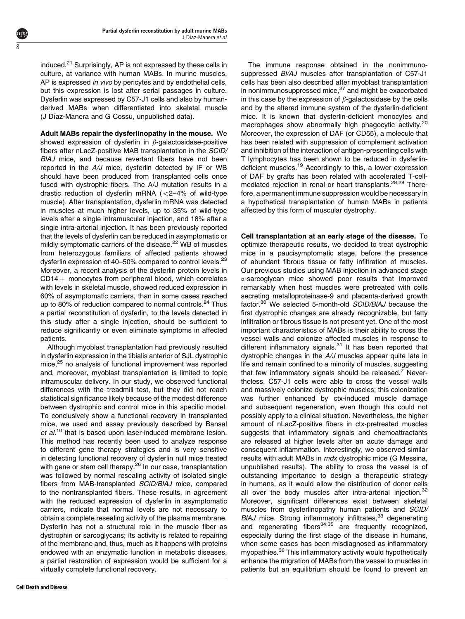induced.<sup>21</sup> Surprisingly, AP is not expressed by these cells in culture, at variance with human MABs. In murine muscles, AP is expressed *in vivo* by pericytes and by endothelial cells, but this expression is lost after serial passages in culture. Dysferlin was expressed by C57-J1 cells and also by humanderived MABs when differentiated into skeletal muscle (J Díaz-Manera and G Cossu, unpublished data).

ŏ

Adult MABs repair the dysferlinopathy in the mouse. We showed expression of dysferlin in  $\beta$ -galactosidase-positive fibers after nLacZ-positive MAB transplantation in the SCID/ BIAJ mice, and because revertant fibers have not been reported in the A/J mice, dysferlin detected by IF or WB should have been produced from transplanted cells once fused with dystrophic fibers. The A/J mutation results in a drastic reduction of dysferlin mRNA  $\left( <2-4\% \right)$  of wild-type muscle). After transplantation, dysferlin mRNA was detected in muscles at much higher levels, up to 35% of wild-type levels after a single intramuscular injection, and 18% after a single intra-arterial injection. It has been previously reported that the levels of dysferlin can be reduced in asymptomatic or mildly symptomatic carriers of the disease.<sup>[22](#page-9-0)</sup> WB of muscles from heterozygous familiars of affected patients showed dysferlin expression of 40–50% compared to control levels.<sup>23</sup> Moreover, a recent analysis of the dysferlin protein levels in  $CD14 +$  monocytes from peripheral blood, which correlates with levels in skeletal muscle, showed reduced expression in 60% of asymptomatic carriers, than in some cases reached up to 80% of reduction compared to normal controls.<sup>[24](#page-9-0)</sup> Thus a partial reconstitution of dysferlin, to the levels detected in this study after a single injection, should be sufficient to reduce significantly or even eliminate symptoms in affected patients.

Although myoblast transplantation had previously resulted in dysferlin expression in the tibialis anterior of SJL dystrophic mice,<sup>25</sup> no analysis of functional improvement was reported and, moreover, myoblast transplantation is limited to topic intramuscular delivery. In our study, we observed functional differences with the treadmill test, but they did not reach statistical significance likely because of the modest difference between dystrophic and control mice in this specific model. To conclusively show a functional recovery in transplanted mice, we used and assay previously described by Bansal  $et$  al.<sup>[10](#page-9-0)</sup> that is based upon laser-induced membrane lesion. This method has recently been used to analyze response to different gene therapy strategies and is very sensitive in detecting functional recovery of dysferlin null mice treated with gene or stem cell therapy.<sup>[26](#page-9-0)</sup> In our case, transplantation was followed by normal resealing activity of isolated single fibers from MAB-transplanted SCID/BlAJ mice, compared to the nontransplanted fibers. These results, in agreement with the reduced expression of dysferlin in asymptomatic carriers, indicate that normal levels are not necessary to obtain a complete resealing activity of the plasma membrane. Dysferlin has not a structural role in the muscle fiber as dystrophin or sarcoglycans; its activity is related to repairing of the membrane and, thus, much as it happens with proteins endowed with an enzymatic function in metabolic diseases, a partial restoration of expression would be sufficient for a virtually complete functional recovery.

The immune response obtained in the nonimmunosuppressed BI/AJ muscles after transplantation of C57-J1 cells has been also described after myoblast transplantation in nonimmunosuppressed mice,<sup>[27](#page-9-0)</sup> and might be exacerbated in this case by the expression of  $\beta$ -galactosidase by the cells and by the altered immune system of the dysferlin-deficient mice. It is known that dysferlin-deficient monocytes and macrophages show abnormally high phagocytic activity.<sup>[20](#page-9-0)</sup> Moreover, the expression of DAF (or CD55), a molecule that has been related with suppression of complement activation and inhibition of the interaction of antigen-presenting cells with T lymphocytes has been shown to be reduced in dysferlin-deficient muscles.<sup>[19](#page-9-0)</sup> Accordingly to this, a lower expression of DAF by grafts has been related with accelerated T-cellmediated rejection in renal or heart transplants.<sup>28,29</sup> Therefore, a permanent immune suppression would be necessary in a hypothetical transplantation of human MABs in patients affected by this form of muscular dystrophy.

Cell transplantation at an early stage of the disease. To optimize therapeutic results, we decided to treat dystrophic mice in a paucisymptomatic stage, before the presence of abundant fibrous tissue or fatty infiltration of muscles. Our previous studies using MAB injection in advanced stage  $\alpha$ -sarcoglycan mice showed poor results that improved remarkably when host muscles were pretreated with cells secreting metalloproteinase-9 and placenta-derived growth factor.<sup>[30](#page-9-0)</sup> We selected 5-month-old SCID/BIAJ because the first dystrophic changes are already recognizable, but fatty infiltration or fibrous tissue is not present yet. One of the most important characteristics of MABs is their ability to cross the vessel walls and colonize affected muscles in response to different inflammatory signals. $31$  It has been reported that dystrophic changes in the A/J muscles appear quite late in life and remain confined to a minority of muscles, suggesting that few inflammatory signals should be released.<sup>7</sup> Nevertheless, C57-J1 cells were able to cross the vessel walls and massively colonize dystrophic muscles; this colonization was further enhanced by ctx-induced muscle damage and subsequent regeneration, even though this could not possibly apply to a clinical situation. Nevertheless, the higher amount of nLacZ-positive fibers in ctx-pretreated muscles suggests that inflammatory signals and chemoattractants are released at higher levels after an acute damage and consequent inflammation. Interestingly, we observed similar results with adult MABs in *mdx* dystrophic mice (G Messina, unpublished results). The ability to cross the vessel is of outstanding importance to design a therapeutic strategy in humans, as it would allow the distribution of donor cells all over the body muscles after intra-arterial injection.<sup>[32](#page-9-0)</sup> Moreover, significant differences exist between skeletal muscles from dysferlinopathy human patients and SCID/  $BIAJ$  mice. Strong inflammatory infiltrates,  $33$  degenerating and regenerating fibers $34,35$  are frequently recognized. especially during the first stage of the disease in humans, when some cases has been misdiagnosed as inflammatory myopathies.[36](#page-10-0) This inflammatory activity would hypothetically enhance the migration of MABs from the vessel to muscles in patients but an equilibrium should be found to prevent an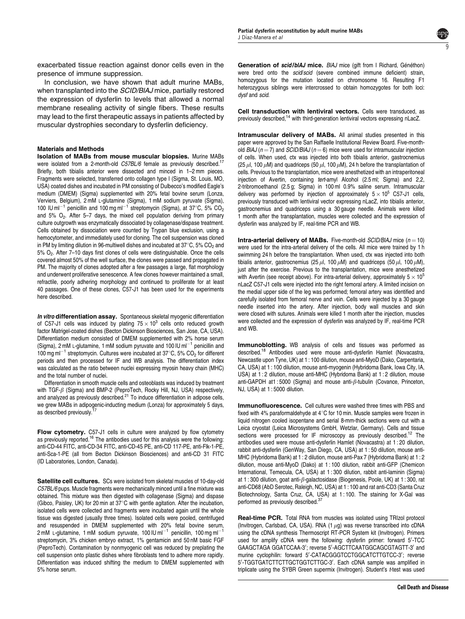9

exacerbated tissue reaction against donor cells even in the presence of immune suppression.

In conclusion, we have shown that adult murine MABs, when transplanted into the *SCID/BIAJ* mice, partially restored the expression of dysferlin to levels that allowed a normal membrane resealing activity of single fibers. These results may lead to the first therapeutic assays in patients affected by muscular dystrophies secondary to dysferlin deficiency.

#### Materials and Methods

Isolation of MABs from mouse muscular biopsies. Murine MABs were isolated from a 2-month-old C57BL/6 female as previously described.<sup>17</sup> Briefly, both tibialis anterior were dissected and minced in 1–2 mm pieces. Fragments were selected, transferred onto collagen type I (Sigma, St. Louis, MO, USA) coated dishes and incubated in PM consisting of Dulbecco's modified Eagle's medium (DMEM) (Sigma) supplemented with 20% fetal bovine serum (Lonza, Verviers, Belgium), 2 mM L-glutamine (Sigma), 1 mM sodium pyruvate (Sigma), 100 IU ml<sup>-1</sup> penicillin and 100 mg ml<sup>-1</sup> streptomycin (Sigma), at 37<sup>o</sup>C, 5% CO<sub>2</sub> and  $5\%$  O<sub>2</sub>. After 5–7 days, the mixed cell population deriving from primary culture outgrowth was enzymatically dissociated by collagenase/dispase treatment. Cells obtained by dissociation were counted by Trypan blue exclusion, using a hemocytometer, and immediately used for cloning. The cell suspension was cloned in PM by limiting dilution in 96-multiwell dishes and incubated at  $37^{\circ}$ C, 5% CO<sub>2</sub> and 5% O2. After 7–10 days first clones of cells were distinguishable. Once the cells covered almost 50% of the well surface, the clones were passed and propagated in PM. The majority of clones adopted after a few passages a large, flat morphology and underwent proliferative senescence. A few clones however maintained a small, refractile, poorly adhering morphology and continued to proliferate for at least 40 passages. One of these clones, C57-J1 has been used for the experiments here described.

In vitro differentiation assay. Spontaneous skeletal myogenic differentiation of C57-J1 cells was induced by plating  $75 \times 10^3$  cells onto reduced growth factor Matrigel-coated dishes (Becton Dickinson Biosciences, San Jose, CA, USA). Differentiation medium consisted of DMEM supplemented with 2% horse serum (Sigma), 2 mM L-glutamine, 1 mM sodium pyruvate and 100 IU m $^{-1}$  penicillin and 100 mg m $^{-1}$  streptomycin. Cultures were incubated at 37 $^{\circ}$ C, 5% CO<sub>2</sub> for different periods and then processed for IF and WB analysis. The differentiation index was calculated as the ratio between nuclei expressing myosin heavy chain (MHC) and the total number of nuclei.

Differentiation in smooth muscle cells and osteoblasts was induced by treatment with TGF- $\beta$  (Sigma) and BMP-2 (PeproTech, Rocky Hill, NJ, USA) respectively, and analyzed as previously described.<sup>[21](#page-9-0)</sup> To induce differentiation in adipose cells, we grew MABs in adipogenic-inducting medium (Lonza) for approximately 5 days, as described previously.<sup>1</sup>

Flow cytometry. C57-J1 cells in culture were analyzed by flow cytometry as previously reported.<sup>[16](#page-9-0)</sup> The antibodies used for this analysis were the following: anti-CD-44 FITC, anti-CD-34 FITC, anti-CD-45 PE, anti-CD 117-PE, anti-Flk-1-PE, anti-Sca-1-PE (all from Becton Dickinson Biosciences) and anti-CD 31 FITC (ID Laboratories, London, Canada).

Satellite cell cultures. SCs were isolated from skeletal muscles of 10-day-old C57BL/6 pups. Muscle fragments were mechanically minced until a fine mixture was obtained. This mixture was then digested with collagenase (Sigma) and dispase (Gibco, Paisley, UK) for 20 min at  $37^{\circ}$ C with gentle agitation. After the incubation, isolated cells were collected and fragments were incubated again until the whole tissue was digested (usually three times). Isolated cells were pooled, centrifuged and resuspended in DMEM supplemented with 20% fetal bovine serum, 2 mM L-glutamine, 1 mM sodium pyruvate, 100 IU ml<sup>-1</sup> penicillin, 100 mg ml<sup>-1</sup> streptomycin, 3% chicken embryo extract, 1% gentamicin and 50 nM basic FGF (PeproTech). Contamination by nonmyogenic cell was reduced by preplating the cell suspension onto plastic dishes where fibroblasts tend to adhere more rapidly. Differentiation was induced shifting the medium to DMEM supplemented with 5% horse serum.

Generation of scid/blAJ mice. BIAJ mice (gift from I Richard, Généthon) were bred onto the *scid/scid* (severe combined immune deficient) strain, homozygous for the mutation located on chromosome 16. Resulting F1 heterozygous siblings were intercrossed to obtain homozygotes for both loci: dysf and scid.

Cell transduction with lentiviral vectors. Cells were transduced, as previously described,<sup>14</sup> with third-generation lentiviral vectors expressing nLacZ.

Intramuscular delivery of MABs. All animal studies presented in this paper were approved by the San Raffaelle Institutional Review Board. Five-monthold BIAJ ( $n = 7$ ) and SCID/BIAJ ( $n = 6$ ) mice were used for intramuscular injection of cells. When used, ctx was injected into both tibialis anterior, gastrocnemius (25  $\mu$ l, 100  $\mu$ M) and quadriceps (50  $\mu$ l, 100  $\mu$ M), 24 h before the transplantation of cells. Previous to the transplantation, mice were anesthetized with an intraperitoneal injection of Avertin, containing tert-amyl Alcohol (2.5 ml; Sigma) and 2,2, 2-tribromoethanol (2.5 g; Sigma) in 100 ml 0.9% saline serum. Intramuscular delivery was performed by injection of approximately  $5 \times 10^5$  C57-J1 cells, previously transduced with lentiviral vector expressing nLacZ, into tibialis anterior, gastrocnemius and quadriceps using a 30 gauge needle. Animals were killed 1 month after the transplantation, muscles were collected and the expression of dysferlin was analyzed by IF, real-time PCR and WB.

**Intra-arterial delivery of MABs.** Five-month-old  $SCID/BIAJ$  mice  $(n = 10)$ were used for the intra-arterial delivery of the cells. All mice were trained by 1 h swimming 24 h before the transplantation. When used, ctx was injected into both tibialis anterior, gastrocnemius (25  $\mu$ l, 100  $\mu$ M) and quadriceps (50  $\mu$ l, 100  $\mu$ M), just after the exercise. Previous to the transplantation, mice were anesthetized with Avertin (see receipt above). For intra-arterial delivery, approximately 5  $\times$  10<sup>5</sup> nLacZ C57-J1 cells were injected into the right femoral artery. A limited incision on the medial upper side of the leg was performed; femoral artery was identified and carefully isolated from femoral nerve and vein. Cells were injected by a 30 gauge needle inserted into the artery. After injection, body wall muscles and skin were closed with sutures. Animals were killed 1 month after the injection, muscles were collected and the expression of dysferlin was analyzed by IF, real-time PCR and WB.

Immunoblotting. WB analysis of cells and tissues was performed as described.[18](#page-9-0) Antibodies used were mouse anti-dysferlin Hamlet (Novacastra, Newcastle upon Tyne, UK) at 1 : 100 dilution, mouse anti-MyoD (Dako, Carpentaria, CA, USA) at 1 : 100 dilution, mouse anti-myogenin (Hybridoma Bank, Iowa City, IA, USA) at 1 : 2 dilution, mouse anti-MHC (Hybridoma Bank) at 1 : 2 dilution, mouse anti-GAPDH at1:5000 (Sigma) and mouse anti- $\beta$ -tubulin (Covance, Princeton, NJ, USA) at 1 : 5000 dilution.

**Immunofluorescence.** Cell cultures were washed three times with PBS and fixed with 4% paraformaldehyde at 4 $\degree$ C for 10 min. Muscle samples were frozen in liquid nitrogen cooled isopentane and serial 8-mm-thick sections were cut with a Leica cryostat (Leica Microsystems GmbH, Wetzlar, Germany). Cells and tissue sections were processed for IF microscopy as previously described.<sup>[12](#page-9-0)</sup> The antibodies used were mouse anti-dysferlin Hamlet (Novacastra) at 1 : 20 dilution, rabbit anti-dysferlin (GenWay, San Diego, CA, USA) at 1 : 50 dilution, mouse anti-MHC (Hybridoma Bank) at 1 : 2 dilution, mouse anti-Pax 7 (Hybridoma Bank) at 1 : 2 dilution, mouse anti-MyoD (Dako) at 1 : 100 dilution, rabbit anti-GFP (Chemicon International, Temecula, CA, USA) at 1 : 300 dilution, rabbit anti-laminin (Sigma) at 1 : 300 dilution, goat anti- $\beta$ -galactosidase (Biogenesis, Poole, UK) at 1 : 300, rat anti-CD68 (AbD Serotec, Raleigh, NC, USA) at 1 : 100 and rat anti-CD3 (Santa Cruz Biotechnology, Santa Cruz, CA, USA) at 1 : 100. The staining for X-Gal was performed as previously described.<sup>[37](#page-10-0)</sup>

Real-time PCR. Total RNA from muscles was isolated using TRIzol protocol (Invitrogen, Carlsbad, CA, USA). RNA (1 $\mu$ g) was reverse transcribed into cDNA using the cDNA synthesis Thermoscript RT-PCR System kit (Invitrogen). Primers used for amplify cDNA were the following: dysferlin primer: forward 5'-TCC GAAGCTAGA GGATCCAA-3'; reverse 5'-AGCTTCAATGGCAGCGTAGTT-3' and murine cyclophilin: forward 5'-CATACGGGTCCTGGCATCTTGTCC-3'; reverse 5'-TGGTGATCTTCTTGCTGGTCTTGC-3'. Each cDNA sample was amplified in triplicate using the SYBR Green supermix (Invitrogen). Student's t-test was used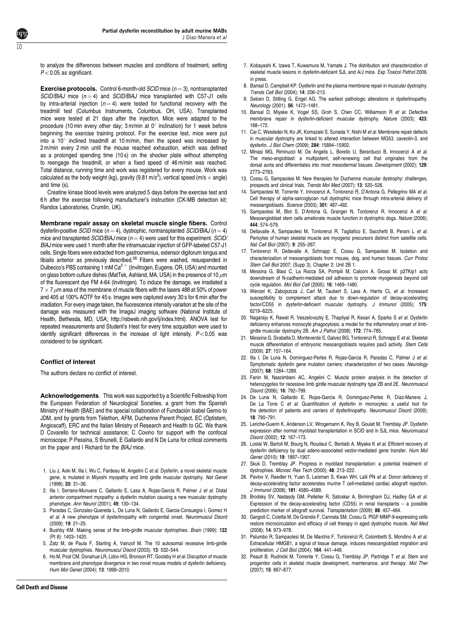<span id="page-9-0"></span>

to analyze the differences between muscles and conditions of treatment, setting  $P<0.05$  as significant.

**Exercise protocols.** Control 6-month-old  $SCID$  mice ( $n = 3$ ), nontransplanted  $SCID/BIAJ$  mice  $(n = 4)$  and  $SCID/BIAJ$  mice transplanted with C57-J1 cells by intra-arterial injection ( $n = 4$ ) were tested for functional recovery with the treadmill test (Columbus Instruments, Columbus, OH, USA). Transplanted mice were tested at 21 days after the injection. Mice were adapted to the procedure (10 min every other day; 3 m/min at  $0^{\circ}$  inclination) for 1 week before beginning the exercise training protocol. For the exercise test, mice were put into a  $10^{\circ}$  inclined treadmill at 10 m/min, then the speed was increased by 2 m/min every 2 min until the mouse reached exhaustion, which was defined as a prolonged spending time (10 s) on the shocker plate without attempting to reengage the treadmill, or when a fixed speed of 46 m/min was reached. Total distance, running time and work was registered for every mouse. Work was calculated as the body weight (kg), gravity (9.81 m/s<sup>2</sup>), vertical speed (m/s  $\times$  angle) and time (s).

Creatine kinase blood levels were analyzed 5 days before the exercise test and 6 h after the exercise following manufacturer's instruction (CK-MB detection kit; Randox Laboratories, Crumlin, UK).

Membrane repair assay on skeletal muscle single fibers. Control dysferlin-positive SCID mice ( $n = 4$ ), dystrophic, nontransplanted SCID/BIAJ ( $n = 4$ ) mice and transplanted  $SCID/BAJ$  mice ( $n = 4$ ) were used for this experiment.  $SCID/$ BlAJ mice were used 1 month after the intramuscular injection of GFP-labeled C57-J1 cells. Single fibers were extracted from gastrocnemius, extensor digitorum longus and tibialis anterior as previously described.<sup>[38](#page-10-0)</sup> Fibers were washed, resuspended in Dulbecco's PBS containing 1 mM Ca<sup>2+</sup> (Invitrogen, Eugene, OR, USA) and mounted on glass bottom culture dishes (MatTek, Ashland, MA, USA) in the presence of 10  $\mu$ m of the fluorescent dye FM 4-64 (Invitrogen). To induce the damage, we irradiated a  $7\times7\,\mu$ m area of the membrane of muscle fibers with the lasers 488 at 50% of power and 405 at 100% AOTF for 45 s. Images were captured every 30 s for 6 min after the irradiation. For every image taken, the fluorescence intensity variation at the site of the damage was measured with the ImageJ imaging software (National Institute of Health, Bethesda, MD, USA; http://rsbweb.nih.gov/ij/index.html). ANOVA test for repeated measurements and Student's t-test for every time acquisition were used to identify significant differences in the increase of light intensity.  $P < 0.05$  was considered to be significant.

# Conflict of Interest

The authors declare no conflict of interest.

Acknowledgements. This work was supported by a Scientific Fellowship from the European Federation of Neurological Societies, a grant from the Spanish Ministry of Health (BAE) and the special collaboration of Fundación Isabel Gemio to JDM, and by grants from Telethon, AFM, Duchenne Parent Project, EC (Optistem, Angioscaff), ERC and the Italian Ministry of Research and Health to GC. We thank D Covarello for technical assistance; C Covino for support with the confocal microscope; P Pessina, S Brunelli, E Gallardo and N De Luna for critical comments on the paper and I Richard for the BlAJ mice.

- 1. Liu J. Aoki M. Illa I, Wu C. Fardeau M. Angelini C et al. Dysferlin, a novel skeletal muscle gene, is mutated in Miyoshi myopathy and limb girdle muscular dystrophy. Nat Genet (1998); 20: 31–36.
- 2. Illa I, Serrano-Munuera C, Gallardo E, Lasa A, Rojas-Garcia R, Palmer J et al. Distal anterior compartment myopathy: a dysferlin mutation causing a new muscular dystrophy phenotype. Ann Neurol (2001); 49: 130–134.
- 3. Paradas C, Gonzalez-Quereda L, De Luna N, Gallardo E, Garcia-Consuegra I, Gomez H et al. A new phenotype of dysferlinopathy with congenital onset. Neuromuscul Disord (2009); 19: 21–25.
- 4. Bushby KM. Making sense of the limb-girdle muscular dystrophies. Brain (1999); 122 (Pt 8): 1403–1420.
- 5. Zatz M, de Paula F, Starling A, Vainzof M. The 10 autosomal recessive limb-girdle muscular dystrophies. Neuromuscul Disord (2003); 13: 532–544.
- 6. Ho M, Post CM, Donahue LR, Lidov HG, Bronson RT, Goolsby H et al. Disruption of muscle membrane and phenotype divergence in two novel mouse models of dysferlin deficiency. Hum Mol Genet (2004); 13: 1999–2010.
- 7. Kobayashi K, Izawa T, Kuwamura M, Yamate J. The distribution and characterization of skeletal muscle lesions in dysferlin-deficient SJL and A/J mice. Exp Toxicol Pathol 2009, in press.
- 8. Bansal D, Campbell KP. Dysferlin and the plasma membrane repair in muscular dystrophy. Trends Cell Biol (2004); 14: 206–213.
- 9. Selcen D, Stilling G, Engel AG. The earliest pathologic alterations in dysferlinopathy. Neurology (2001); 56: 1472–1481.
- 10. Bansal D, Miyake K, Vogel SS, Groh S, Chen CC, Williamson R et al. Defective membrane repair in dysferlin-deficient muscular dystrophy. Nature (2003): 423: 168–172.
- 11. Cai C, Weisleder N, Ko JK, Komazaki S, Sunada Y, Nishi M et al. Membrane repair defects in muscular dystrophy are linked to altered interaction between MG53, caveolin-3, and dysferlin. J Biol Chem (2009); 284: 15894–15902.
- 12. Minasi MG, Riminucci M, De Angelis L, Borello U, Berarducci B, Innocenzi A et al. The meso-angioblast: a multipotent, self-renewing cell that originates from the dorsal aorta and differentiates into most mesodermal tissues. Development (2002); 129: 2773–2783.
- 13. Cossu G, Sampaolesi M. New therapies for Duchenne muscular dystrophy: challenges, prospects and clinical trials. Trends Mol Med (2007); 13: 520-526.
- 14. Sampaolesi M, Torrente Y, Innocenzi A, Tonlorenzi R, D'Antona G, Pellegrino MA et al. Cell therapy of alpha-sarcoglycan null dystrophic mice through intra-arterial delivery of mesoangioblasts. Science (2003); 301: 487–492.
- 15. Sampaolesi M, Blot S, D'Antona G, Granger N, Tonlorenzi R, Innocenzi A et al. Mesoangioblast stem cells ameliorate muscle function in dystrophic dogs. Nature (2006); 444: 574–579.
- 16. Dellavalle A, Sampaolesi M, Tonlorenzi R, Tagliafico E, Sacchetti B, Perani L et al. Pericytes of human skeletal muscle are myogenic precursors distinct from satellite cells. Nat Cell Biol (2007); 9: 255–267.
- 17. Tonlorenzi R, Dellavalle A, Schnapp E, Cossu G, Sampaolesi M. Isolation and characterization of mesoangioblasts from mouse, dog, and human tissues. Curr Protoc Stem Cell Biol 2007; (Supp 3), Chapter 2: Unit 2B 1.
- 18. Messina G, Blasi C, La Rocca SA, Pompili M, Calconi A, Grossi M. p27Kip1 acts downstream of N-cadherin-mediated cell adhesion to promote myogenesis beyond cell cycle regulation. Mol Biol Cell (2005); 16: 1469-1480.
- 19. Wenzel K, Zabojszcza J, Carl M, Taubert S, Lass A, Harris CL et al. Increased susceptibility to complement attack due to down-regulation of decay-accelerating factor/CD55 in dysferlin-deficient muscular dystrophy. J Immunol (2005); 175: 6219–6225.
- 20. Nagaraju K, Rawat R, Veszelovszky E, Thapliyal R, Kesari A, Sparks S et al. Dysferlin deficiency enhances monocyte phagocytosis: a model for the inflammatory onset of limbgirdle muscular dystrophy 2B. Am J Pathol (2008); 172: 774–785.
- 21. Messina G, Sirabella D, Monteverde S, Galvez BG, Tonlorenzi R, Schnapp E et al. Skeletal muscle differentiation of embryonic mesoangioblasts requires pax3 activity. Stem Cells (2009); 27: 157–164.
- 22. Illa I, De Luna N, Dominguez-Perles R, Rojas-Garcia R, Paradas C, Palmer J et al. Symptomatic dysferlin gene mutation carriers: characterization of two cases. Neurology (2007); 68: 1284–1289.
- 23. Fanin M, Nascimbeni AC, Angelini C. Muscle protein analysis in the detection of heterozygotes for recessive limb girdle muscular dystrophy type 2B and 2E. Neuromuscul Disord (2006); 16: 792–799.
- 24. De Luna N, Gallardo E, Rojas-Garcia R, Dominguez-Perles R, Díaz-Manera J, De La Torre C et al. Quantification of dysferlin in monocytes: a useful tool for the detection of patients and carriers of dysferlinopathy. Neuromuscul Disord (2009); 18: 790–791.
- 25. Leriche-Guerin K, Anderson LV, Wrogemann K, Roy B, Goulet M, Tremblay JP. Dysferlin expression after normal myoblast transplantation in SCID and in SJL mice. Neuromuscul Disord (2002); 12: 167–173.
- 26. Lostal W, Bartoli M, Bourg N, Roudaut C, Bentaib A, Miyake K et al. Efficient recovery of dysferlin deficiency by dual adeno-associated vector-mediated gene transfer. Hum Mol Genet (2010); 19: 1897–1907.
- 27. Skuk D, Tremblay JP. Progress in myoblast transplantation: a potential treatment of dystrophies. Microsc Res Tech (2000); 48: 213–222.
- 28. Pavlov V, Raedler H, Yuan S, Leisman S, Kwan WH, Lalli PN et al. Donor deficiency of decay-accelerating factor accelerates murine T cell-mediated cardiac allograft rejection. J Immunol (2008); 181: 4580–4589.
- 29. Brodsky SV, Nadasdy GM, Pelletier R, Satoskar A, Birmingham DJ, Hadley GA et al. Expression of the decay-accelerating factor (CD55) in renal transplants – a possible prediction marker of allograft survival. Transplantation (2009); 88: 457–464.
- 30. Gargioli C, Coletta M, De Grandis F, Cannata SM, Cossu G. PlGF-MMP-9-expressing cells restore microcirculation and efficacy of cell therapy in aged dystrophic muscle. Nat Med (2008); 14: 973–978.
- 31. Palumbo R, Sampaolesi M, De Marchis F, Tonlorenzi R, Colombetti S, Mondino A et al. Extracellular HMGB1, a signal of tissue damage, induces mesoangioblast migration and proliferation. J Cell Biol (2004); 164: 441–449.
- 32. Peault B, Rudnicki M, Torrente Y, Cossu G, Tremblay JP, Partridge T et al. Stem and progenitor cells in skeletal muscle development, maintenance, and therapy. Mol Ther (2007); 15: 867–877.